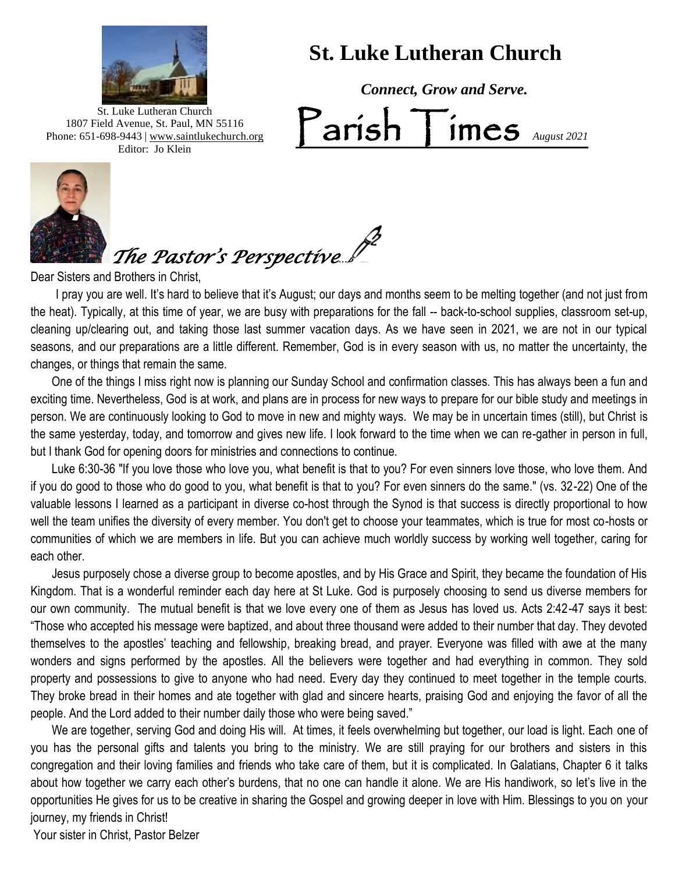

Editor: Jo Klein

 **St. Luke Lutheran Church** 

 *Connect, Grow and Serve.*  $\sum_{August 2021}$ 1807 Field Avenue, St. Paul, MN 55116 Phone: 651-698-9443 | www.saintlukechurch.org



*The Pastor's Perspective...*.

Dear Sisters and Brothers in Christ,

 I pray you are well. It's hard to believe that it's August; our days and months seem to be melting together (and not just from the heat). Typically, at this time of year, we are busy with preparations for the fall -- back-to-school supplies, classroom set-up, cleaning up/clearing out, and taking those last summer vacation days. As we have seen in 2021, we are not in our typical seasons, and our preparations are a little different. Remember, God is in every season with us, no matter the uncertainty, the changes, or things that remain the same.

 One of the things I miss right now is planning our Sunday School and confirmation classes. This has always been a fun and exciting time. Nevertheless, God is at work, and plans are in process for new ways to prepare for our bible study and meetings in person. We are continuously looking to God to move in new and mighty ways. We may be in uncertain times (still), but Christ is the same yesterday, today, and tomorrow and gives new life. I look forward to the time when we can re-gather in person in full, but I thank God for opening doors for ministries and connections to continue.

well the team unifies the diversity of every member. You don't get to choose your teammates, which is true for most co-hosts or Luke 6:30-36 "If you love those who love you, what benefit is that to you? For even sinners love those, who love them. And if you do good to those who do good to you, what benefit is that to you? For even sinners do the same." (vs. 32-22) One of the valuable lessons I learned as a participant in diverse co-host through the Synod is that success is directly proportional to how communities of which we are members in life. But you can achieve much worldly success by working well together, caring for each other.

 Jesus purposely chose a diverse group to become apostles, and by His Grace and Spirit, they became the foundation of His Kingdom. That is a wonderful reminder each day here at St Luke. God is purposely choosing to send us diverse members for our own community. The mutual benefit is that we love every one of them as Jesus has loved us. Acts 2:42-47 says it best: "Those who accepted his message were baptized, and about three thousand were added to their number that day. They devoted themselves to the apostles' teaching and fellowship, breaking bread, and prayer. Everyone was filled with awe at the many wonders and signs performed by the apostles. All the believers were together and had everything in common. They sold property and possessions to give to anyone who had need. Every day they continued to meet together in the temple courts. They broke bread in their homes and ate together with glad and sincere hearts, praising God and enjoying the favor of all the people. And the Lord added to their number daily those who were being saved."

 We are together, serving God and doing His will. At times, it feels overwhelming but together, our load is light. Each one of you has the personal gifts and talents you bring to the ministry. We are still praying for our brothers and sisters in this congregation and their loving families and friends who take care of them, but it is complicated. In Galatians, Chapter 6 it talks about how together we carry each other's burdens, that no one can handle it alone. We are His handiwork, so let's live in the opportunities He gives for us to be creative in sharing the Gospel and growing deeper in love with Him. Blessings to you on your journey, my friends in Christ!

Your sister in Christ, Pastor Belzer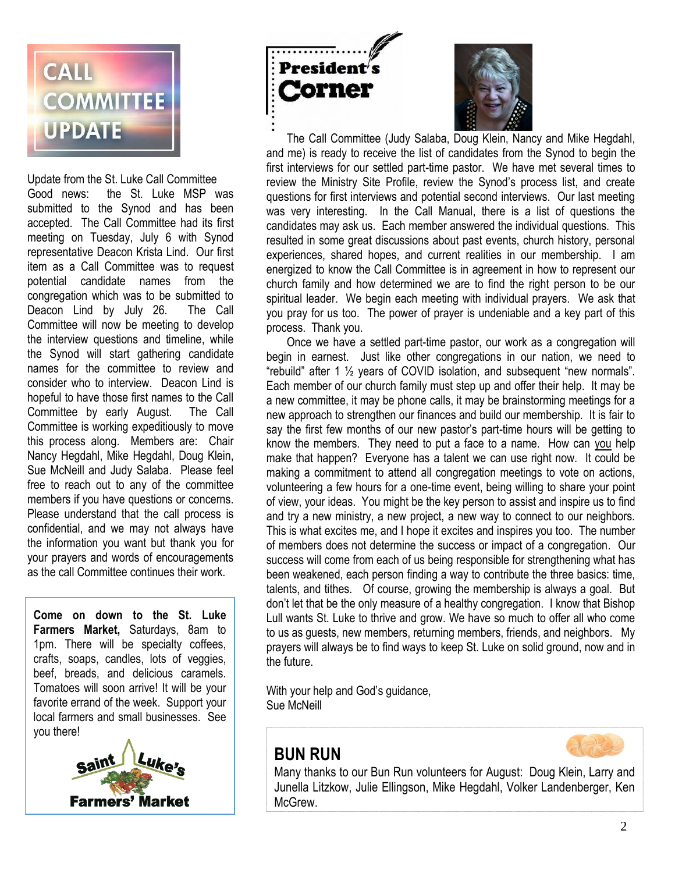

 Nancy Hegdahl, Mike Hegdahl, Doug Klein, Update from the St. Luke Call Committee Good news: the St. Luke MSP was submitted to the Synod and has been accepted. The Call Committee had its first meeting on Tuesday, July 6 with Synod representative Deacon Krista Lind. Our first item as a Call Committee was to request potential candidate names from the congregation which was to be submitted to Deacon Lind by July 26. The Call Committee will now be meeting to develop the interview questions and timeline, while the Synod will start gathering candidate names for the committee to review and consider who to interview. Deacon Lind is hopeful to have those first names to the Call Committee by early August. The Call Committee is working expeditiously to move this process along. Members are: Chair Sue McNeill and Judy Salaba. Please feel free to reach out to any of the committee members if you have questions or concerns. Please understand that the call process is confidential, and we may not always have the information you want but thank you for your prayers and words of encouragements as the call Committee continues their work.

**Come on down to the St. Luke Farmers Market,** Saturdays, 8am to 1pm. There will be specialty coffees, crafts, soaps, candles, lots of veggies, beef, breads, and delicious caramels. Tomatoes will soon arrive! It will be your favorite errand of the week. Support your local farmers and small businesses. See you there!







 The Call Committee (Judy Salaba, Doug Klein, Nancy and Mike Hegdahl, and me) is ready to receive the list of candidates from the Synod to begin the first interviews for our settled part-time pastor. We have met several times to review the Ministry Site Profile, review the Synod's process list, and create questions for first interviews and potential second interviews. Our last meeting was very interesting. In the Call Manual, there is a list of questions the candidates may ask us. Each member answered the individual questions. This resulted in some great discussions about past events, church history, personal experiences, shared hopes, and current realities in our membership. I am energized to know the Call Committee is in agreement in how to represent our church family and how determined we are to find the right person to be our spiritual leader. We begin each meeting with individual prayers. We ask that you pray for us too. The power of prayer is undeniable and a key part of this process. Thank you.

 Once we have a settled part-time pastor, our work as a congregation will begin in earnest. Just like other congregations in our nation, we need to "rebuild" after 1 ½ years of COVID isolation, and subsequent "new normals". Each member of our church family must step up and offer their help. It may be a new committee, it may be phone calls, it may be brainstorming meetings for a new approach to strengthen our finances and build our membership. It is fair to say the first few months of our new pastor's part-time hours will be getting to know the members. They need to put a face to a name. How can you help make that happen? Everyone has a talent we can use right now. It could be making a commitment to attend all congregation meetings to vote on actions, volunteering a few hours for a one-time event, being willing to share your point of view, your ideas. You might be the key person to assist and inspire us to find and try a new ministry, a new project, a new way to connect to our neighbors. This is what excites me, and I hope it excites and inspires you too. The number of members does not determine the success or impact of a congregation. Our success will come from each of us being responsible for strengthening what has been weakened, each person finding a way to contribute the three basics: time, talents, and tithes. Of course, growing the membership is always a goal. But don't let that be the only measure of a healthy congregation. I know that Bishop Lull wants St. Luke to thrive and grow. We have so much to offer all who come to us as guests, new members, returning members, friends, and neighbors. My prayers will always be to find ways to keep St. Luke on solid ground, now and in the future.

With your help and God's guidance, Sue McNeill

# **BUN RUN**



Many thanks to our Bun Run volunteers for August: Doug Klein, Larry and Junella Litzkow, Julie Ellingson, Mike Hegdahl, Volker Landenberger, Ken McGrew.